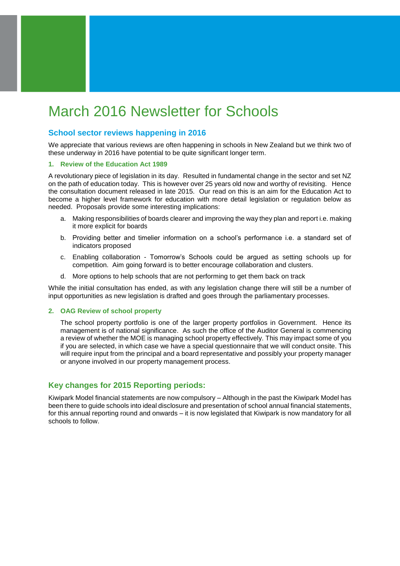# March 2016 Newsletter for Schools

## **School sector reviews happening in 2016**

We appreciate that various reviews are often happening in schools in New Zealand but we think two of these underway in 2016 have potential to be quite significant longer term.

#### **1. Review of the Education Act 1989**

A revolutionary piece of legislation in its day. Resulted in fundamental change in the sector and set NZ on the path of education today. This is however over 25 years old now and worthy of revisiting. Hence the consultation document released in late 2015. Our read on this is an aim for the Education Act to become a higher level framework for education with more detail legislation or regulation below as needed. Proposals provide some interesting implications:

- a. Making responsibilities of boards clearer and improving the way they plan and report i.e. making it more explicit for boards
- b. Providing better and timelier information on a school's performance i.e. a standard set of indicators proposed
- c. Enabling collaboration Tomorrow's Schools could be argued as setting schools up for competition. Aim going forward is to better encourage collaboration and clusters.
- d. More options to help schools that are not performing to get them back on track

While the initial consultation has ended, as with any legislation change there will still be a number of input opportunities as new legislation is drafted and goes through the parliamentary processes.

#### **2. OAG Review of school property**

The school property portfolio is one of the larger property portfolios in Government. Hence its management is of national significance. As such the office of the Auditor General is commencing a review of whether the MOE is managing school property effectively. This may impact some of you if you are selected, in which case we have a special questionnaire that we will conduct onsite. This will require input from the principal and a board representative and possibly your property manager or anyone involved in our property management process.

## **Key changes for 2015 Reporting periods:**

Kiwipark Model financial statements are now compulsory – Although in the past the Kiwipark Model has been there to guide schools into ideal disclosure and presentation of school annual financial statements, for this annual reporting round and onwards – it is now legislated that Kiwipark is now mandatory for all schools to follow.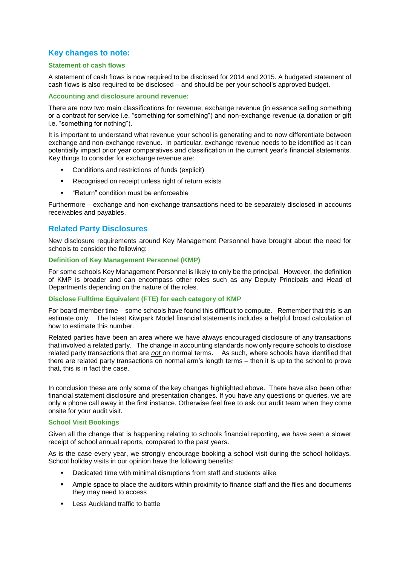## **Key changes to note:**

## **Statement of cash flows**

A statement of cash flows is now required to be disclosed for 2014 and 2015. A budgeted statement of cash flows is also required to be disclosed – and should be per your school's approved budget.

## **Accounting and disclosure around revenue:**

There are now two main classifications for revenue; exchange revenue (in essence selling something or a contract for service i.e. "something for something") and non-exchange revenue (a donation or gift i.e. "something for nothing").

It is important to understand what revenue your school is generating and to now differentiate between exchange and non-exchange revenue. In particular, exchange revenue needs to be identified as it can potentially impact prior year comparatives and classification in the current year's financial statements. Key things to consider for exchange revenue are:

- Conditions and restrictions of funds (explicit)
- **Recognised on receipt unless right of return exists**
- **EXECT:** "Return" condition must be enforceable

Furthermore – exchange and non-exchange transactions need to be separately disclosed in accounts receivables and payables.

## **Related Party Disclosures**

New disclosure requirements around Key Management Personnel have brought about the need for schools to consider the following:

## **Definition of Key Management Personnel (KMP)**

For some schools Key Management Personnel is likely to only be the principal. However, the definition of KMP is broader and can encompass other roles such as any Deputy Principals and Head of Departments depending on the nature of the roles.

#### **Disclose Fulltime Equivalent (FTE) for each category of KMP**

For board member time – some schools have found this difficult to compute. Remember that this is an estimate only. The latest Kiwipark Model financial statements includes a helpful broad calculation of how to estimate this number.

Related parties have been an area where we have always encouraged disclosure of any transactions that involved a related party. The change in accounting standards now only require schools to disclose related party transactions that are *not* on normal terms. As such, where schools have identified that there are related party transactions on normal arm's length terms – then it is up to the school to prove that, this is in fact the case.

In conclusion these are only some of the key changes highlighted above. There have also been other financial statement disclosure and presentation changes. If you have any questions or queries, we are only a phone call away in the first instance. Otherwise feel free to ask our audit team when they come onsite for your audit visit.

### **School Visit Bookings**

Given all the change that is happening relating to schools financial reporting, we have seen a slower receipt of school annual reports, compared to the past years.

As is the case every year, we strongly encourage booking a school visit during the school holidays. School holiday visits in our opinion have the following benefits:

- **•** Dedicated time with minimal disruptions from staff and students alike
- Ample space to place the auditors within proximity to finance staff and the files and documents they may need to access
- **Less Auckland traffic to battle**